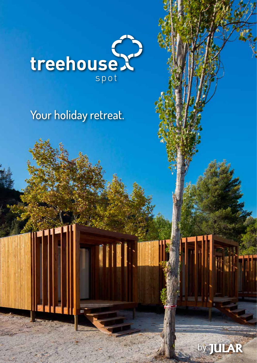

# Your holiday retreat.

I

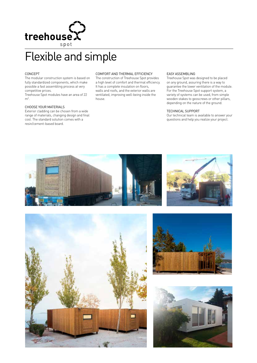

# Flexible and simple

## CONCEPT

The modular construction system is based on fully standardized components, which make possible a fast assembling process at very competitive prices.

Treehouse Spot modules have an area of 22  $m<sup>2</sup>$ .

### CHOOSE YOUR MATERIALS

Exterior cladding can be chosen from a wide range of materials, changing design and final cost. The standard solution comes with a resin/cement-based board.

#### COMFORT AND THERMAL EFFICIENCY

The construction of Treehouse Spot provides a high level of comfort and thermal efficiency. It has a complete insulation on floors, walls and roofs, and the exterior walls are ventilated, improving well-being inside the house.

#### EASY ASSEMBLING

Treehouse Spot was designed to be placed on any ground, assuring there is a way to guarantee the lower ventilation of the module. For the Treehouse Spot support system, a variety of systems can be used, from simple wooden stakes to geoscrews or other pillars, depending on the nature of the ground.

# TECHNICAL SUPPORT

Our technical team is available to answer your questions and help you realize your project.







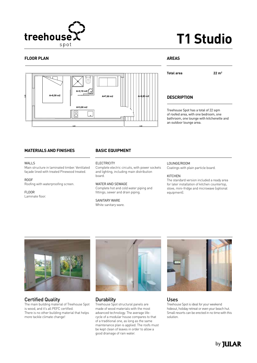

# **T1 Studio**

# **FLOOR PLAN**



# **AREAS**

**Total area 22 m2**

# **DESCRIPTION**

Treehouse Spot has a total of 22 sqm of roofed area, with one bedroom, one bathroom, one lounge with kitchenette and an outdoor lounge area.

# **MATERIALS AND FINISHES**

#### WALL<sub>S</sub>

Main structure in laminated timber. Ventilated façade lined with treated Pinewood treated.

ROOF

Roofing with waterproofing screen.

#### FLOOR

Laminate floor.

# **BASIC EQUIPMENT**

**ELECTRICITY** 

Complete electric circuits, with power sockets and lighting, including main distribution board.

# WATER AND SEWAGE

Complete hot and cold water piping and fittings; sewer and drain piping.

#### SANITARY WARE White sanitary ware.

### LOUNGE/ROOM

Coatings with plain particle board.

#### KITCHEN

The standard version included a ready area for later installation of kitchen countertop, stove, mini-fridge and microwave (optional equipment).



Certified Quality The main building material of Treehouse Spot is wood, and it's all PEFC certified. There is no other building material that helps more tackle climate change!



# **Durability**

Treehouse Spot structural panels are made of wood materials with the most advanced technology. The average lifecycle of a modular house compares to that of a traditional one, as long as the same maintenance plan is applied. The roofs must be kept clean of leaves in order to allow a good drainage of rain water.



# Uses

Treehouse Spot is ideal for your weekend hideout, holiday retreat or even your beach hut. Small resorts can be erected in no time with this solution.